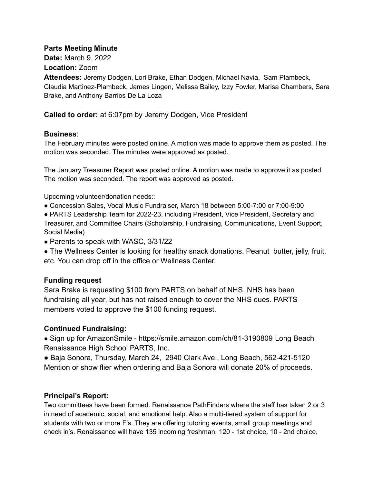#### **Parts Meeting Minute**

**Date:** March 9, 2022

**Location:** Zoom

**Attendees:** Jeremy Dodgen, Lori Brake, Ethan Dodgen, Michael Navia, Sam Plambeck, Claudia Martinez-Plambeck, James Lingen, Melissa Bailey, Izzy Fowler, Marisa Chambers, Sara Brake, and Anthony Barrios De La Loza

**Called to order:** at 6:07pm by Jeremy Dodgen, Vice President

#### **Business**:

The February minutes were posted online. A motion was made to approve them as posted. The motion was seconded. The minutes were approved as posted.

The January Treasurer Report was posted online. A motion was made to approve it as posted. The motion was seconded. The report was approved as posted.

Upcoming volunteer/donation needs::

● Concession Sales, Vocal Music Fundraiser, March 18 between 5:00-7:00 or 7:00-9:00

● PARTS Leadership Team for 2022-23, including President, Vice President, Secretary and Treasurer, and Committee Chairs (Scholarship, Fundraising, Communications, Event Support, Social Media)

- Parents to speak with WASC, 3/31/22
- The Wellness Center is looking for healthy snack donations. Peanut butter, jelly, fruit, etc. You can drop off in the office or Wellness Center.

### **Funding request**

Sara Brake is requesting \$100 from PARTS on behalf of NHS. NHS has been fundraising all year, but has not raised enough to cover the NHS dues. PARTS members voted to approve the \$100 funding request.

### **Continued Fundraising:**

● Sign up for AmazonSmile - https://smile.amazon.com/ch/81-3190809 Long Beach Renaissance High School PARTS, Inc.

● Baja Sonora, Thursday, March 24, 2940 Clark Ave., Long Beach, 562-421-5120 Mention or show flier when ordering and Baja Sonora will donate 20% of proceeds.

### **Principal's Report:**

Two committees have been formed. Renaissance PathFinders where the staff has taken 2 or 3 in need of academic, social, and emotional help. Also a multi-tiered system of support for students with two or more F's. They are offering tutoring events, small group meetings and check in's. Renaissance will have 135 incoming freshman. 120 - 1st choice, 10 - 2nd choice,